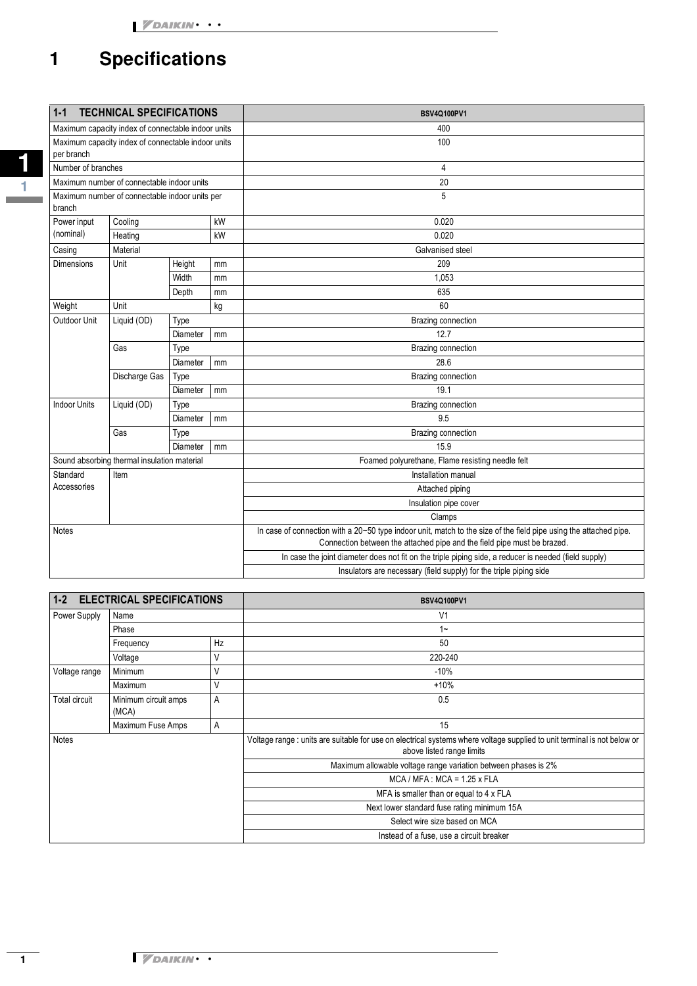# **1 Specifications**

| $1 - 1$<br><b>TECHNICAL SPECIFICATIONS</b>               |               |          |    | <b>BSV4Q100PV1</b>                                                                                                                                                                           |
|----------------------------------------------------------|---------------|----------|----|----------------------------------------------------------------------------------------------------------------------------------------------------------------------------------------------|
| Maximum capacity index of connectable indoor units       |               |          |    | 400                                                                                                                                                                                          |
| Maximum capacity index of connectable indoor units       |               |          |    | 100                                                                                                                                                                                          |
| per branch                                               |               |          |    |                                                                                                                                                                                              |
| Number of branches                                       |               |          |    | $\overline{4}$                                                                                                                                                                               |
| Maximum number of connectable indoor units               |               |          |    | 20                                                                                                                                                                                           |
| Maximum number of connectable indoor units per<br>branch |               |          |    | 5                                                                                                                                                                                            |
| Power input                                              | Cooling       |          | kW | 0.020                                                                                                                                                                                        |
| (nominal)                                                | Heating       |          | kW | 0.020                                                                                                                                                                                        |
| Casing                                                   | Material      |          |    | Galvanised steel                                                                                                                                                                             |
| Dimensions                                               | Unit          | Height   | mm | 209                                                                                                                                                                                          |
|                                                          |               | Width    | mm | 1,053                                                                                                                                                                                        |
|                                                          |               | Depth    | mm | 635                                                                                                                                                                                          |
| Weight                                                   | Unit<br>kg    |          |    | 60                                                                                                                                                                                           |
| Outdoor Unit                                             | Liquid (OD)   | Type     |    | Brazing connection                                                                                                                                                                           |
|                                                          |               | Diameter | mm | 12.7                                                                                                                                                                                         |
|                                                          | Gas           | Type     |    | Brazing connection                                                                                                                                                                           |
|                                                          |               | Diameter | mm | 28.6                                                                                                                                                                                         |
|                                                          | Discharge Gas | Type     |    | Brazing connection                                                                                                                                                                           |
|                                                          |               | Diameter | mm | 19.1                                                                                                                                                                                         |
| <b>Indoor Units</b>                                      | Liquid (OD)   | Type     |    | Brazing connection                                                                                                                                                                           |
|                                                          |               | Diameter | mm | 9.5                                                                                                                                                                                          |
|                                                          | Gas           | Type     |    | Brazing connection                                                                                                                                                                           |
|                                                          |               | Diameter | mm | 15.9                                                                                                                                                                                         |
| Sound absorbing thermal insulation material              |               |          |    | Foamed polyurethane, Flame resisting needle felt                                                                                                                                             |
| Standard                                                 | Item          |          |    | Installation manual                                                                                                                                                                          |
| Accessories                                              |               |          |    | Attached piping                                                                                                                                                                              |
|                                                          |               |          |    | Insulation pipe cover                                                                                                                                                                        |
|                                                          |               |          |    | Clamps                                                                                                                                                                                       |
| <b>Notes</b>                                             |               |          |    | In case of connection with a 20~50 type indoor unit, match to the size of the field pipe using the attached pipe.<br>Connection between the attached pipe and the field pipe must be brazed. |
|                                                          |               |          |    | In case the joint diameter does not fit on the triple piping side, a reducer is needed (field supply)                                                                                        |
|                                                          |               |          |    | Insulators are necessary (field supply) for the triple piping side                                                                                                                           |

| $1 - 2$<br><b>ELECTRICAL SPECIFICATIONS</b> |                               |    | <b>BSV4Q100PV1</b>                                                                                                                                    |  |
|---------------------------------------------|-------------------------------|----|-------------------------------------------------------------------------------------------------------------------------------------------------------|--|
| Power Supply                                | Name                          |    | V <sub>1</sub>                                                                                                                                        |  |
|                                             | Phase                         |    | $1 -$                                                                                                                                                 |  |
|                                             | Frequency                     | Hz | 50                                                                                                                                                    |  |
|                                             | Voltage                       |    | 220-240                                                                                                                                               |  |
| Voltage range                               | Minimum                       | ٧  | $-10%$                                                                                                                                                |  |
|                                             | Maximum                       | V  | $+10%$                                                                                                                                                |  |
| Total circuit                               | Minimum circuit amps<br>(MCA) | A  | 0.5                                                                                                                                                   |  |
|                                             | Maximum Fuse Amps             | Α  | 15                                                                                                                                                    |  |
| Notes                                       |                               |    | Voltage range : units are suitable for use on electrical systems where voltage supplied to unit terminal is not below or<br>above listed range limits |  |
|                                             |                               |    | Maximum allowable voltage range variation between phases is 2%                                                                                        |  |
|                                             |                               |    | $MCA / MFA$ : $MCA = 1.25$ x FLA                                                                                                                      |  |
|                                             |                               |    | MFA is smaller than or equal to 4 x FLA                                                                                                               |  |
|                                             |                               |    | Next lower standard fuse rating minimum 15A                                                                                                           |  |
|                                             |                               |    | Select wire size based on MCA                                                                                                                         |  |
|                                             |                               |    | Instead of a fuse, use a circuit breaker                                                                                                              |  |

**1 1**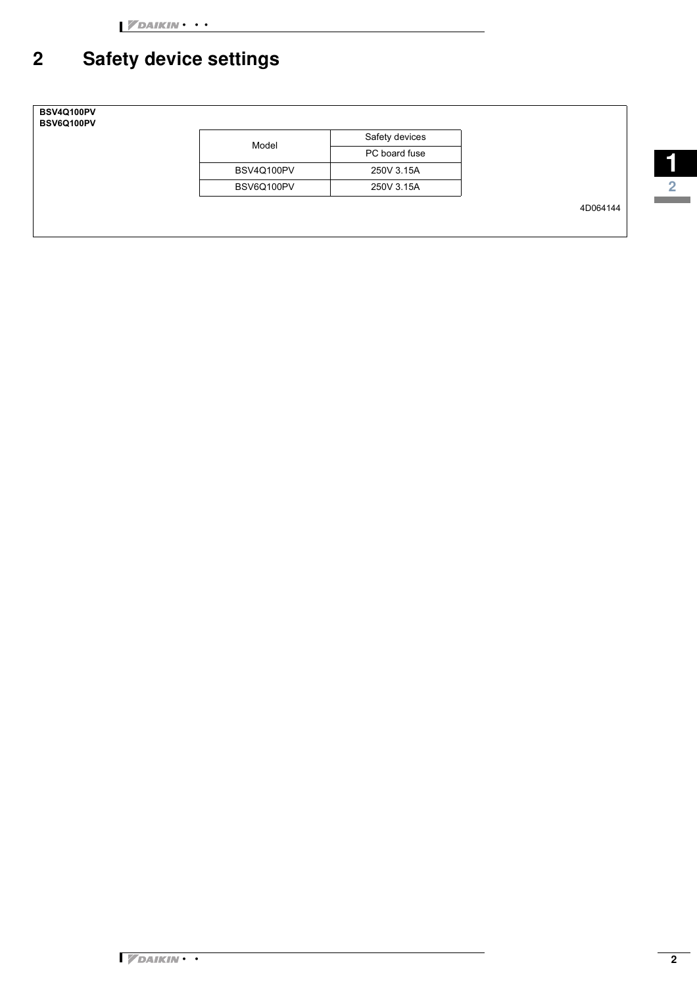## **2 Safety device settings**



| Model      | Safety devices |
|------------|----------------|
|            | PC board fuse  |
| BSV4Q100PV | 250V 3.15A     |
| BSV6Q100PV | 250V 3.15A     |

4D064144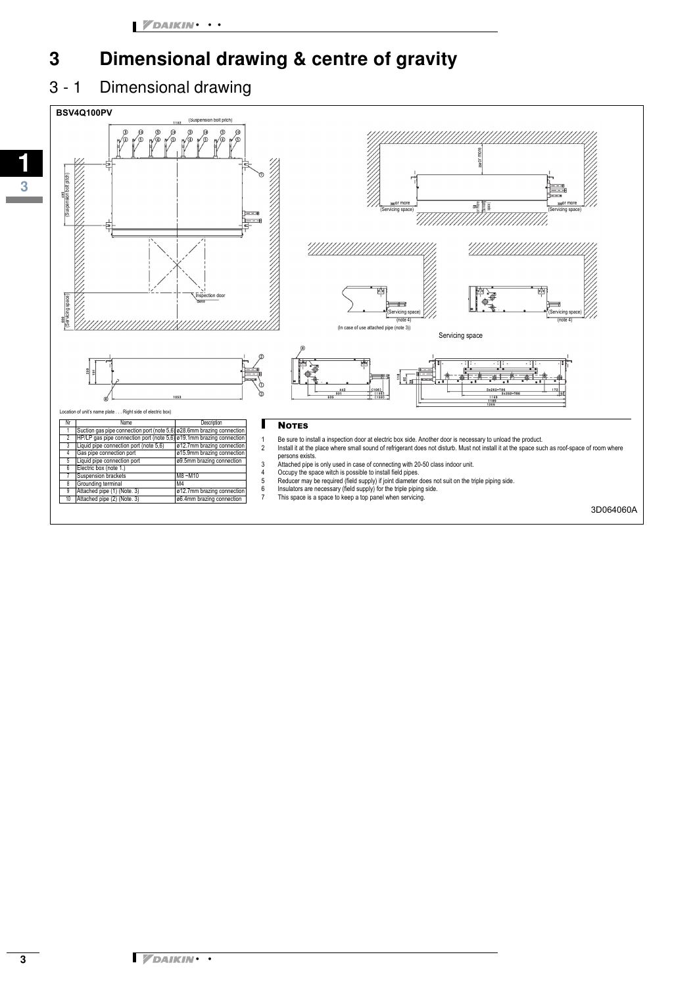#### **3 Dimensional drawing & centre of gravity**

#### 3 - 1 Dimensional drawing

**1**

**3**

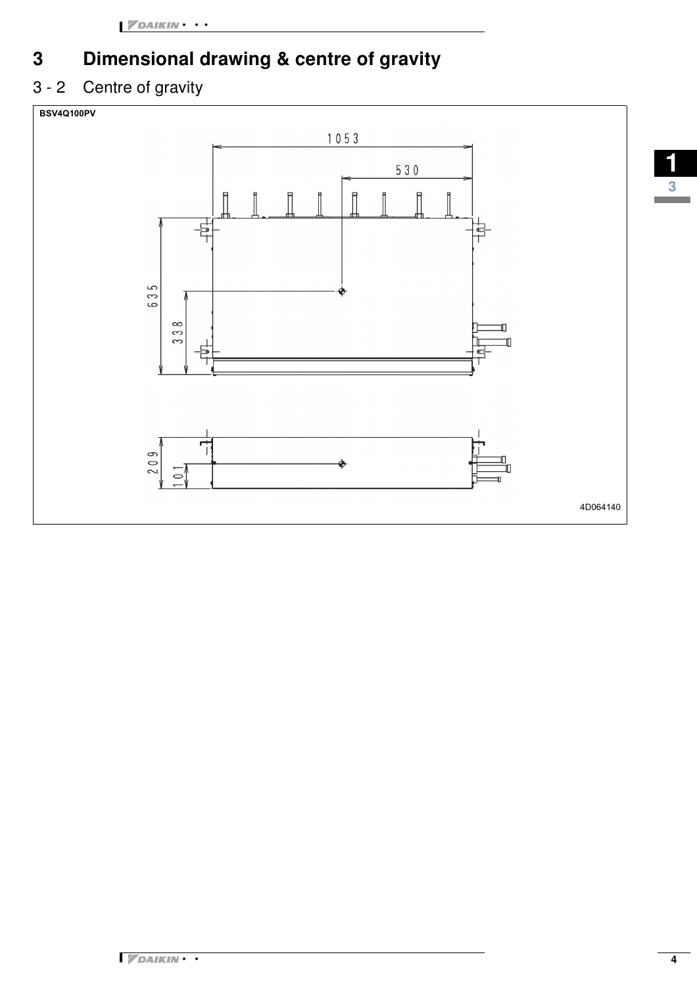## **3 Dimensional drawing & centre of gravity**

#### 3 - 2 Centre of gravity





**1**

**3**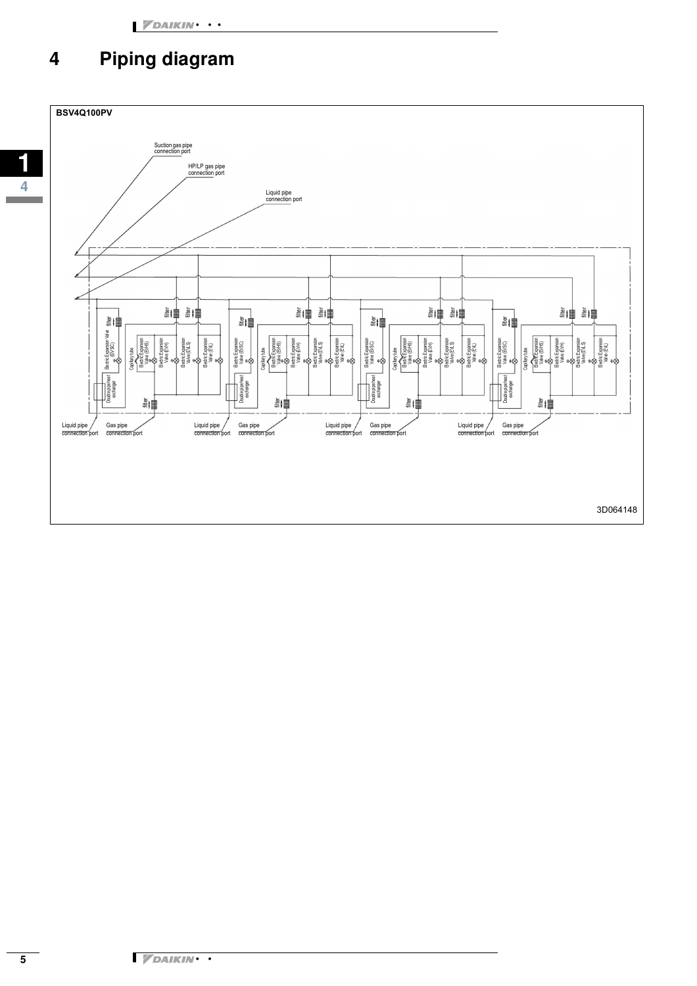#### **4 Piping diagram**

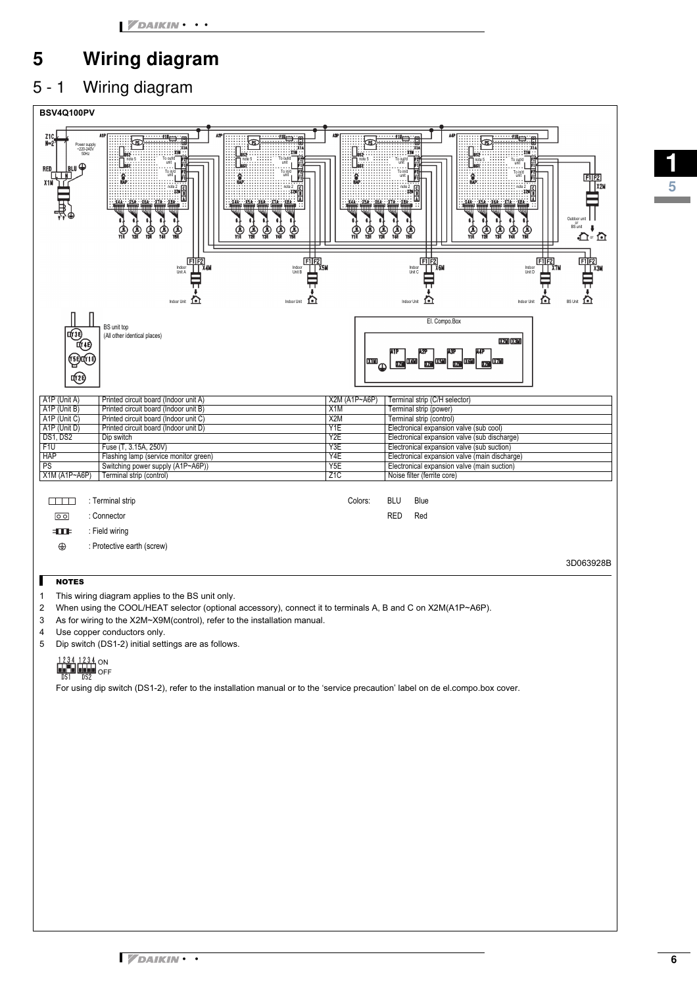## **5 Wiring diagram**

#### 5 - 1 Wiring diagram



- 1 This wiring diagram applies to the BS unit only.
- 2 When using the COOL/HEAT selector (optional accessory), connect it to terminals A, B and C on X2M(A1P~A6P).
- 3 As for wiring to the X2M~X9M(control), refer to the installation manual.
- 4 Use copper conductors only.
- 5 Dip switch (DS1-2) initial settings are as follows.

ON OFF

For using dip switch (DS1-2), refer to the installation manual or to the 'service precaution' label on de el.compo.box cover.